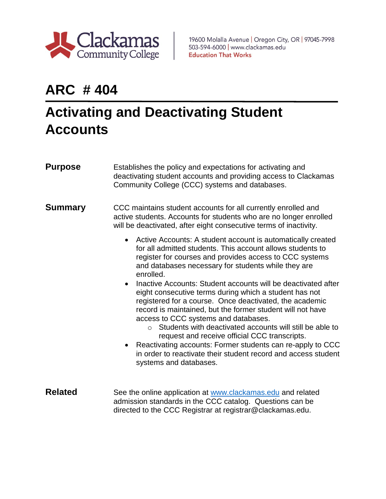

19600 Molalla Avenue | Oregon City, OR | 97045-7998 503-594-6000 | www.clackamas.edu **Education That Works** 

## **ARC # 404**

## **Activating and Deactivating Student Accounts**

| <b>Purpose</b> | Establishes the policy and expectations for activating and<br>deactivating student accounts and providing access to Clackamas<br>Community College (CCC) systems and databases.                                                                                                                                                                     |  |
|----------------|-----------------------------------------------------------------------------------------------------------------------------------------------------------------------------------------------------------------------------------------------------------------------------------------------------------------------------------------------------|--|
| <b>Summary</b> | CCC maintains student accounts for all currently enrolled and<br>active students. Accounts for students who are no longer enrolled<br>will be deactivated, after eight consecutive terms of inactivity.                                                                                                                                             |  |
|                | Active Accounts: A student account is automatically created<br>$\bullet$<br>for all admitted students. This account allows students to<br>register for courses and provides access to CCC systems<br>and databases necessary for students while they are<br>enrolled.<br>Inactive Accounts: Student accounts will be deactivated after<br>$\bullet$ |  |
|                | eight consecutive terms during which a student has not<br>registered for a course. Once deactivated, the academic<br>record is maintained, but the former student will not have<br>access to CCC systems and databases.<br>Students with deactivated accounts will still be able to<br>$\Omega$<br>request and receive official CCC transcripts.    |  |
|                | • Reactivating accounts: Former students can re-apply to CCC<br>in order to reactivate their student record and access student<br>systems and databases.                                                                                                                                                                                            |  |
| <b>Related</b> | See the online application at www.clackamas.edu and related<br>admission standards in the CCC catalog. Questions can be<br>directed to the CCC Registrar at registrar@clackamas.edu.                                                                                                                                                                |  |